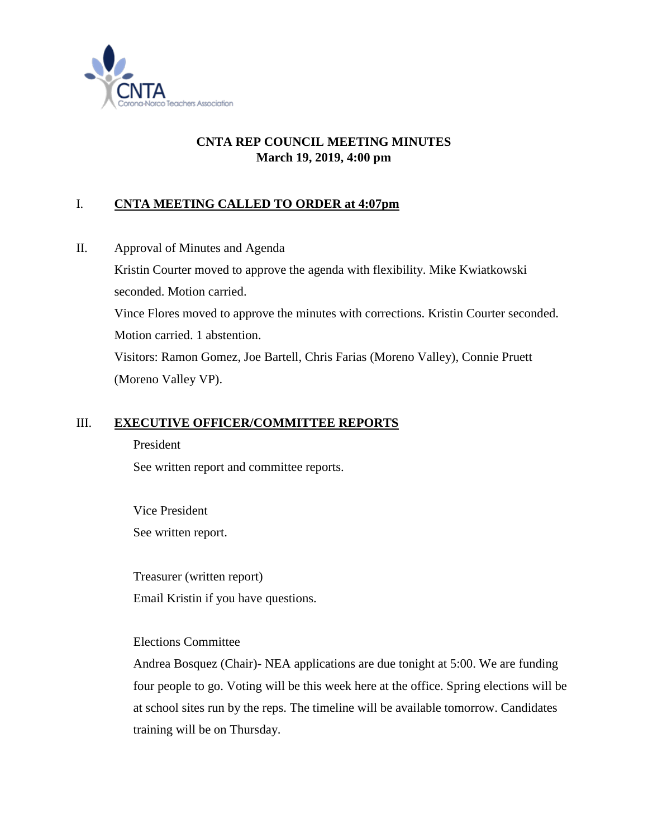

# **CNTA REP COUNCIL MEETING MINUTES March 19, 2019, 4:00 pm**

# I. **CNTA MEETING CALLED TO ORDER at 4:07pm**

II. Approval of Minutes and Agenda Kristin Courter moved to approve the agenda with flexibility. Mike Kwiatkowski seconded. Motion carried. Vince Flores moved to approve the minutes with corrections. Kristin Courter seconded. Motion carried. 1 abstention. Visitors: Ramon Gomez, Joe Bartell, Chris Farias (Moreno Valley), Connie Pruett (Moreno Valley VP).

### III. **EXECUTIVE OFFICER/COMMITTEE REPORTS**

President See written report and committee reports.

Vice President See written report.

Treasurer (written report) Email Kristin if you have questions.

### Elections Committee

Andrea Bosquez (Chair)- NEA applications are due tonight at 5:00. We are funding four people to go. Voting will be this week here at the office. Spring elections will be at school sites run by the reps. The timeline will be available tomorrow. Candidates training will be on Thursday.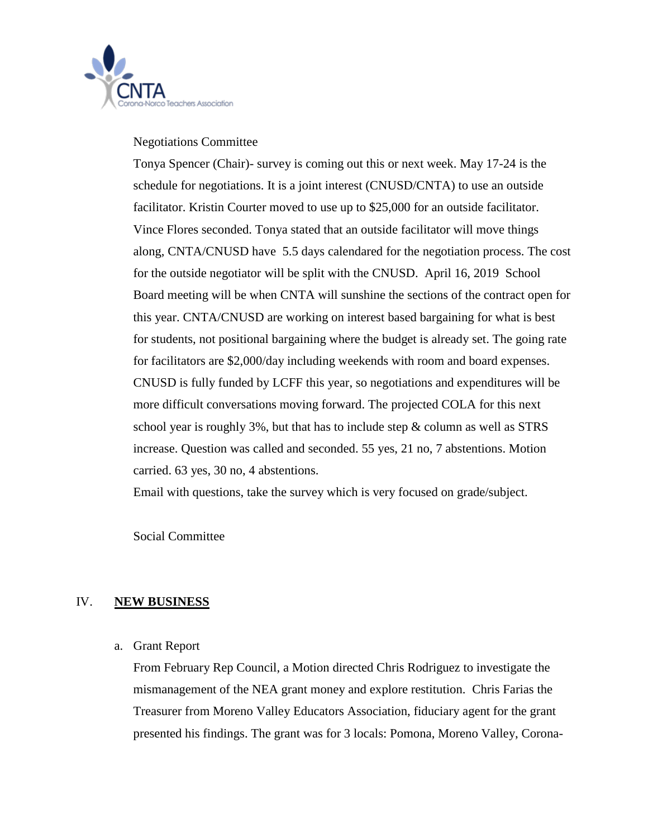

Negotiations Committee

Tonya Spencer (Chair)- survey is coming out this or next week. May 17-24 is the schedule for negotiations. It is a joint interest (CNUSD/CNTA) to use an outside facilitator. Kristin Courter moved to use up to \$25,000 for an outside facilitator. Vince Flores seconded. Tonya stated that an outside facilitator will move things along, CNTA/CNUSD have 5.5 days calendared for the negotiation process. The cost for the outside negotiator will be split with the CNUSD. April 16, 2019 School Board meeting will be when CNTA will sunshine the sections of the contract open for this year. CNTA/CNUSD are working on interest based bargaining for what is best for students, not positional bargaining where the budget is already set. The going rate for facilitators are \$2,000/day including weekends with room and board expenses. CNUSD is fully funded by LCFF this year, so negotiations and expenditures will be more difficult conversations moving forward. The projected COLA for this next school year is roughly  $3\%$ , but that has to include step  $\&$  column as well as STRS increase. Question was called and seconded. 55 yes, 21 no, 7 abstentions. Motion carried. 63 yes, 30 no, 4 abstentions.

Email with questions, take the survey which is very focused on grade/subject.

Social Committee

### IV. **NEW BUSINESS**

#### a. Grant Report

From February Rep Council, a Motion directed Chris Rodriguez to investigate the mismanagement of the NEA grant money and explore restitution. Chris Farias the Treasurer from Moreno Valley Educators Association, fiduciary agent for the grant presented his findings. The grant was for 3 locals: Pomona, Moreno Valley, Corona-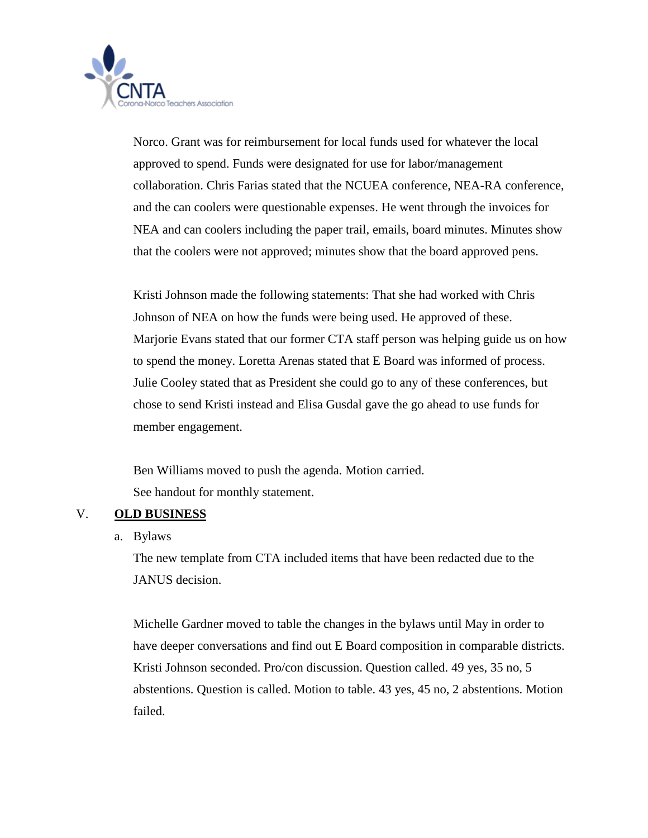

Norco. Grant was for reimbursement for local funds used for whatever the local approved to spend. Funds were designated for use for labor/management collaboration. Chris Farias stated that the NCUEA conference, NEA-RA conference, and the can coolers were questionable expenses. He went through the invoices for NEA and can coolers including the paper trail, emails, board minutes. Minutes show that the coolers were not approved; minutes show that the board approved pens.

Kristi Johnson made the following statements: That she had worked with Chris Johnson of NEA on how the funds were being used. He approved of these. Marjorie Evans stated that our former CTA staff person was helping guide us on how to spend the money. Loretta Arenas stated that E Board was informed of process. Julie Cooley stated that as President she could go to any of these conferences, but chose to send Kristi instead and Elisa Gusdal gave the go ahead to use funds for member engagement.

Ben Williams moved to push the agenda. Motion carried. See handout for monthly statement.

### V. **OLD BUSINESS**

a. Bylaws

The new template from CTA included items that have been redacted due to the JANUS decision.

Michelle Gardner moved to table the changes in the bylaws until May in order to have deeper conversations and find out E Board composition in comparable districts. Kristi Johnson seconded. Pro/con discussion. Question called. 49 yes, 35 no, 5 abstentions. Question is called. Motion to table. 43 yes, 45 no, 2 abstentions. Motion failed.